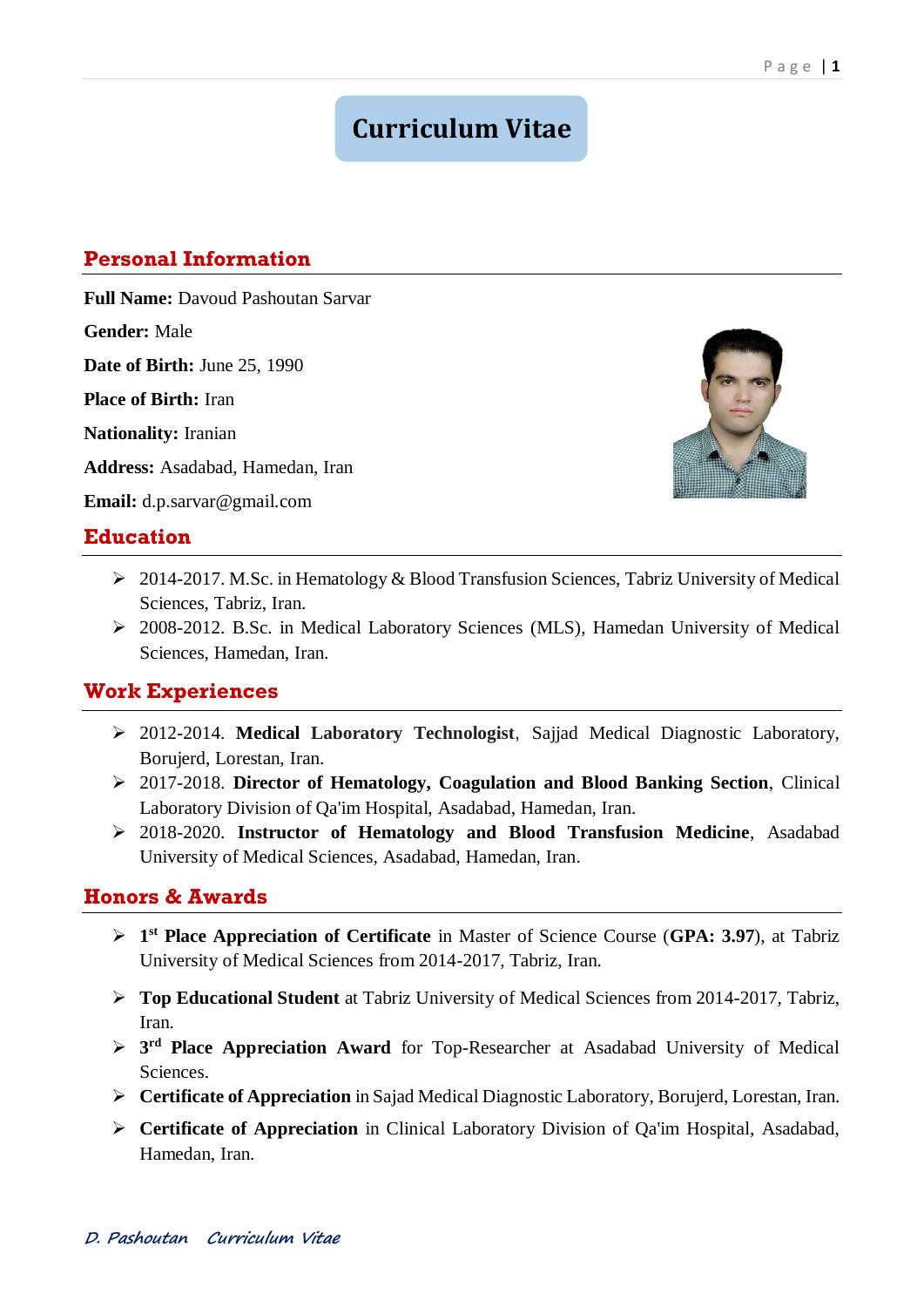# **Curriculum Vitae**

# **Personal Information**

**Full Name:** Davoud Pashoutan Sarvar

**Gender:** Male

**Date of Birth:** June 25, 1990

**Place of Birth:** Iran

**Nationality:** Iranian

**Address:** Asadabad, Hamedan, Iran

**Email:** [d.p.sarvar@gmail.com](mailto:d.p.sarvar@gmail.com)

### **Education**

- 2014-2017. M.Sc. in Hematology & Blood Transfusion Sciences, Tabriz University of Medical Sciences, Tabriz, Iran.
- 2008-2012. B.Sc. in Medical Laboratory Sciences (MLS), Hamedan University of Medical Sciences, Hamedan, Iran.

### **Work Experiences**

- 2012-2014. **Medical Laboratory Technologist**, Sajjad Medical Diagnostic Laboratory, Borujerd, Lorestan, Iran.
- 2017-2018. **Director of Hematology, Coagulation and Blood Banking Section**, Clinical Laboratory Division of Qa'im Hospital, Asadabad, Hamedan, Iran.
- 2018-2020. **Instructor of Hematology and Blood Transfusion Medicine**, Asadabad University of Medical Sciences, Asadabad, Hamedan, Iran.

## **Honors & Awards**

- **1 st Place Appreciation of Certificate** in Master of Science Course (**GPA: 3.97**), at Tabriz University of Medical Sciences from 2014-2017, Tabriz, Iran.
- **Top Educational Student** at Tabriz University of Medical Sciences from 2014-2017, Tabriz, Iran.
- **3 rd Place Appreciation Award** for Top-Researcher at Asadabad University of Medical Sciences.
- **Certificate of Appreciation** in Sajad Medical Diagnostic Laboratory, Borujerd, Lorestan, Iran.
- **Certificate of Appreciation** in Clinical Laboratory Division of Qa'im Hospital, Asadabad, Hamedan, Iran.

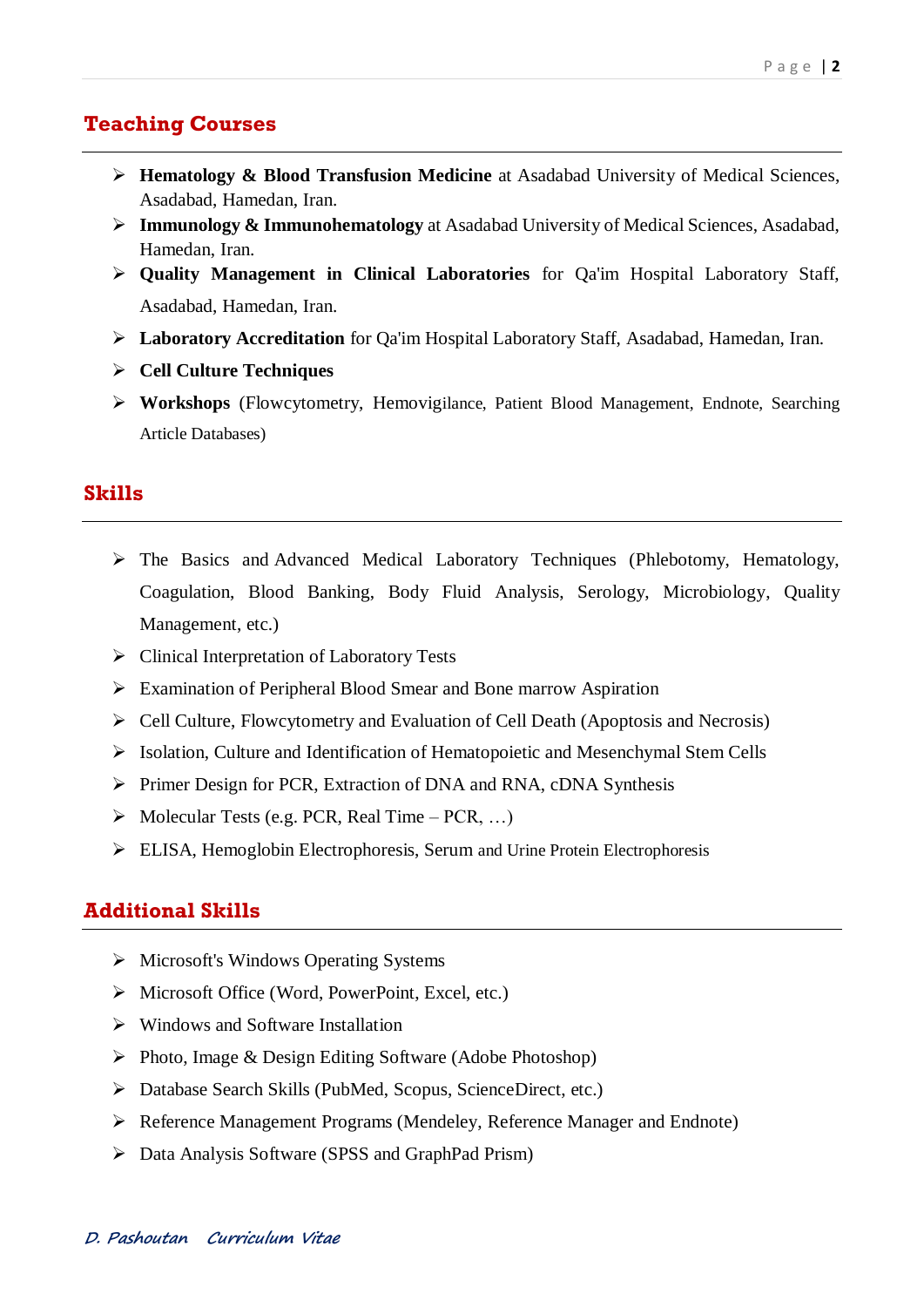### **Teaching Courses**

- **Hematology & Blood Transfusion Medicine** at Asadabad University of Medical Sciences, Asadabad, Hamedan, Iran.
- **Immunology & Immunohematology** at Asadabad University of Medical Sciences, Asadabad, Hamedan, Iran.
- **Quality Management in Clinical Laboratories** for Qa'im Hospital Laboratory Staff, Asadabad, Hamedan, Iran.
- **Laboratory Accreditation** for Qa'im Hospital Laboratory Staff, Asadabad, Hamedan, Iran.
- **Cell Culture Techniques**
- **Workshops** (Flowcytometry, Hemovigilance, Patient Blood Management, Endnote, Searching Article Databases)

#### **Skills**

- The Basics and Advanced Medical Laboratory Techniques (Phlebotomy, Hematology, Coagulation, Blood Banking, Body Fluid Analysis, Serology, Microbiology, Quality Management, etc.)
- Clinical Interpretation of Laboratory Tests
- Examination of Peripheral Blood Smear and Bone marrow Aspiration
- Cell Culture, Flowcytometry and Evaluation of Cell Death (Apoptosis and Necrosis)
- $\triangleright$  Isolation, Culture and Identification of Hematopoietic and Mesenchymal Stem Cells
- Primer Design for PCR, Extraction of DNA and RNA, cDNA Synthesis
- $\triangleright$  Molecular Tests (e.g. PCR, Real Time PCR, ...)
- ELISA, Hemoglobin Electrophoresis, Serum and Urine Protein Electrophoresis

### **Additional Skills**

- Microsoft's Windows Operating Systems
- $\triangleright$  Microsoft Office (Word, PowerPoint, Excel, etc.)
- $\triangleright$  Windows and Software Installation
- $\triangleright$  Photo, Image & Design Editing Software (Adobe Photoshop)
- Database Search Skills (PubMed, Scopus, ScienceDirect, etc.)
- Reference Management Programs (Mendeley, Reference Manager and Endnote)
- Data Analysis Software (SPSS and GraphPad Prism)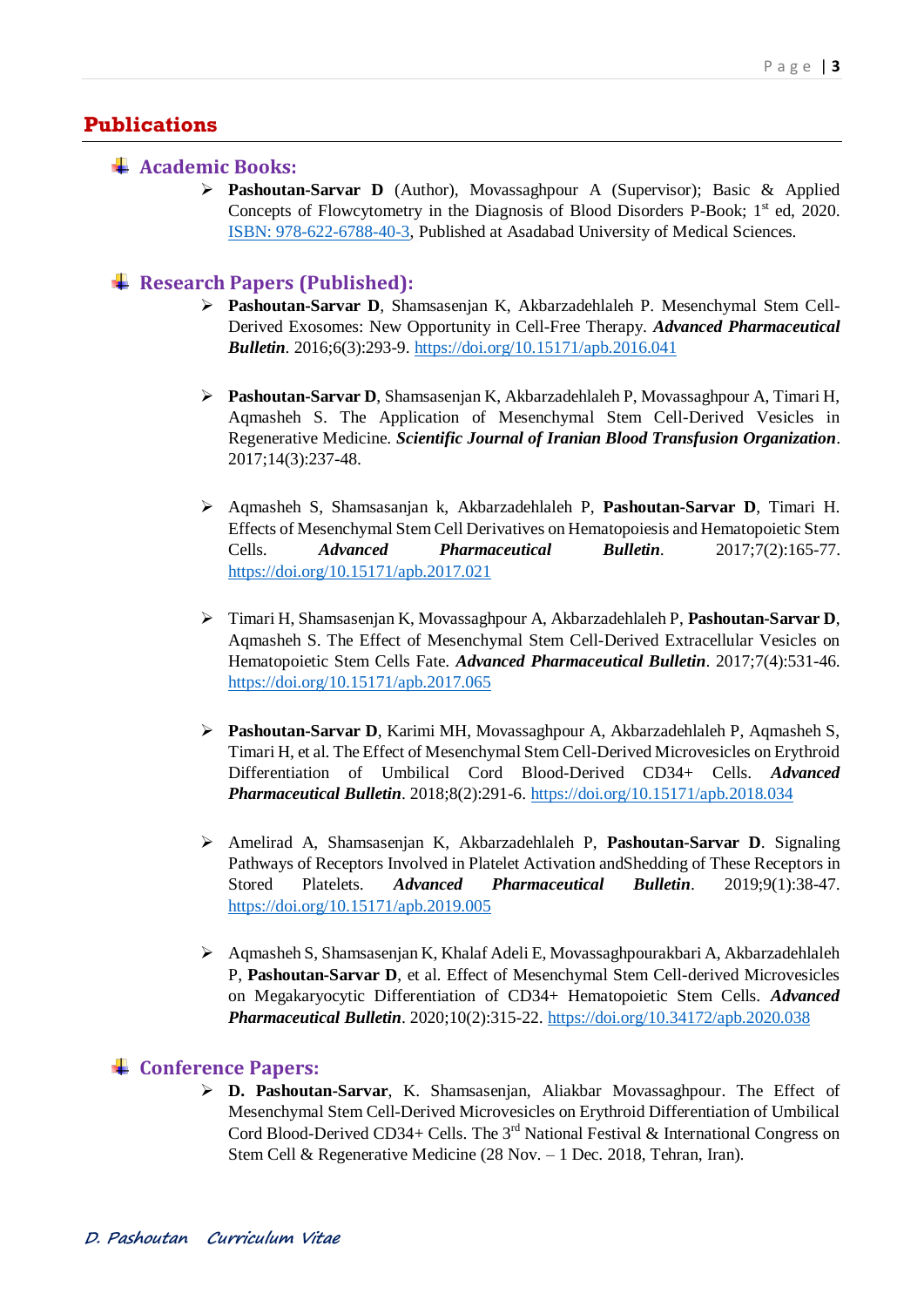### **Publications**

#### **Academic Books:**

 **Pashoutan-Sarvar D** (Author), Movassaghpour A (Supervisor); Basic & Applied Concepts of Flowcytometry in the Diagnosis of Blood Disorders P-Book; 1<sup>st</sup> ed, 2020. [ISBN: 978-622-6788-40-3,](ISBN:%20978-622-6788-40-3) Published at Asadabad University of Medical Sciences.

#### **Research Papers (Published):**

- **Pashoutan-Sarvar D**, Shamsasenjan K, Akbarzadehlaleh P. Mesenchymal Stem Cell-Derived Exosomes: New Opportunity in Cell-Free Therapy. *Advanced Pharmaceutical Bulletin*. 2016;6(3):293-9.<https://doi.org/10.15171/apb.2016.041>
- **Pashoutan-Sarvar D**, Shamsasenjan K, Akbarzadehlaleh P, Movassaghpour A, Timari H, Aqmasheh S. The Application of Mesenchymal Stem Cell-Derived Vesicles in Regenerative Medicine. *Scientific Journal of Iranian Blood Transfusion Organization*. 2017;14(3):237-48.
- Aqmasheh S, Shamsasanjan k, Akbarzadehlaleh P, **Pashoutan-Sarvar D**, Timari H. Effects of Mesenchymal Stem Cell Derivatives on Hematopoiesis and Hematopoietic Stem Cells. *Advanced Pharmaceutical Bulletin*. 2017;7(2):165-77. <https://doi.org/10.15171/apb.2017.021>
- Timari H, Shamsasenjan K, Movassaghpour A, Akbarzadehlaleh P, **Pashoutan-Sarvar D**, Aqmasheh S. The Effect of Mesenchymal Stem Cell-Derived Extracellular Vesicles on Hematopoietic Stem Cells Fate. *Advanced Pharmaceutical Bulletin*. 2017;7(4):531-46. <https://doi.org/10.15171/apb.2017.065>
- **Pashoutan-Sarvar D**, Karimi MH, Movassaghpour A, Akbarzadehlaleh P, Aqmasheh S, Timari H, et al. The Effect of Mesenchymal Stem Cell-Derived Microvesicles on Erythroid Differentiation of Umbilical Cord Blood-Derived CD34+ Cells. *Advanced Pharmaceutical Bulletin*. 2018;8(2):291-6[. https://doi.org/10.15171/apb.2018.034](https://doi.org/10.15171/apb.2018.034)
- Amelirad A, Shamsasenjan K, Akbarzadehlaleh P, **Pashoutan-Sarvar D**. Signaling Pathways of Receptors Involved in Platelet Activation andShedding of These Receptors in Stored Platelets. *Advanced Pharmaceutical Bulletin*. 2019;9(1):38-47. <https://doi.org/10.15171/apb.2019.005>
- Aqmasheh S, Shamsasenjan K, Khalaf Adeli E, Movassaghpourakbari A, Akbarzadehlaleh P, **Pashoutan-Sarvar D**, et al. Effect of Mesenchymal Stem Cell-derived Microvesicles on Megakaryocytic Differentiation of CD34+ Hematopoietic Stem Cells. *Advanced Pharmaceutical Bulletin*. 2020;10(2):315-22[. https://doi.org/10.34172/apb.2020.038](https://doi.org/10.34172/apb.2020.038)

#### **Conference Papers:**

 **D. Pashoutan-Sarvar**, K. Shamsasenjan, Aliakbar Movassaghpour. The Effect of Mesenchymal Stem Cell-Derived Microvesicles on Erythroid Differentiation of Umbilical Cord Blood-Derived CD34+ Cells. The 3<sup>rd</sup> National Festival & International Congress on Stem Cell & Regenerative Medicine (28 Nov. – 1 Dec. 2018, Tehran, Iran).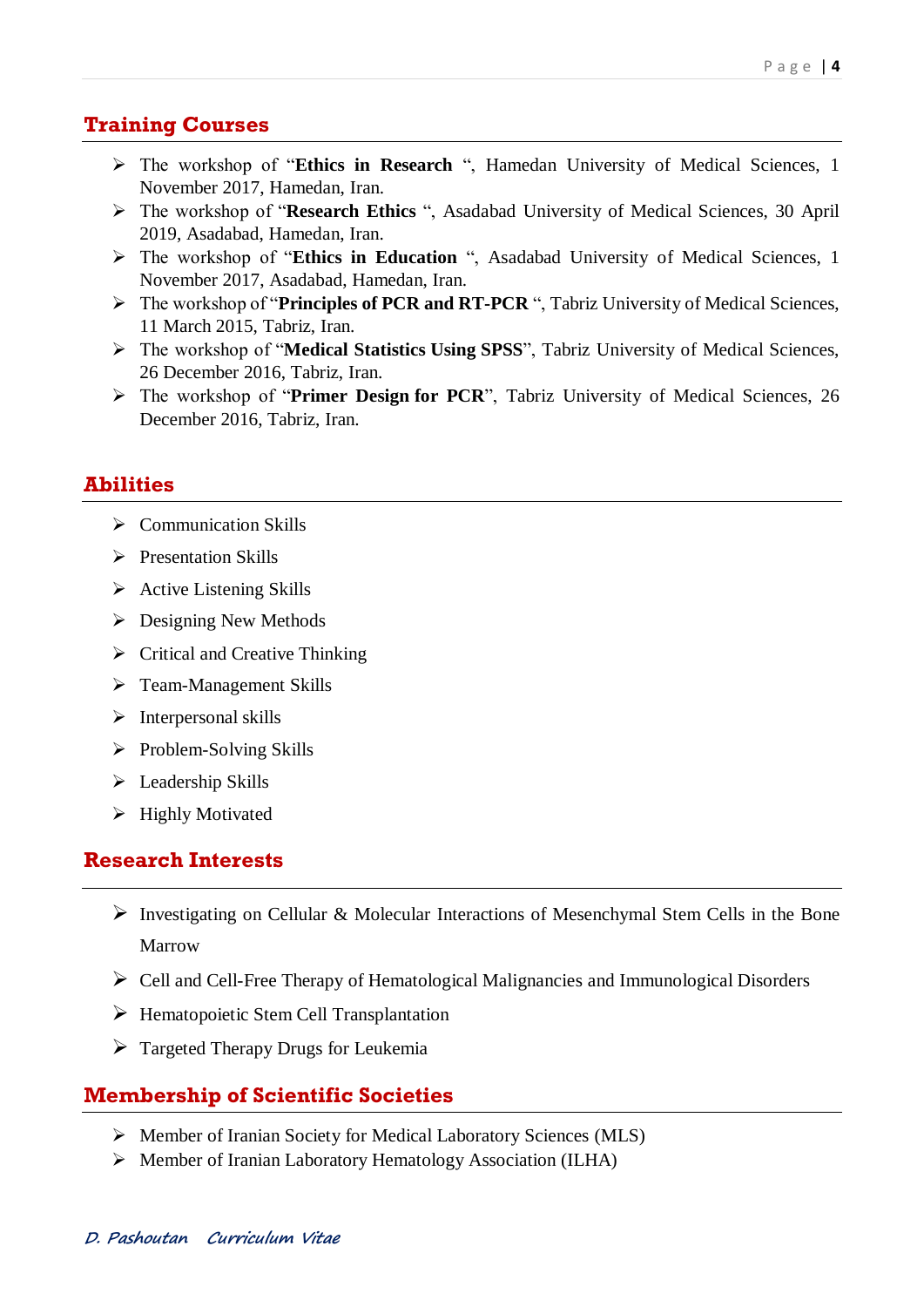## **Training Courses**

- The workshop of "**Ethics in Research** ", Hamedan University of Medical Sciences, 1 November 2017, Hamedan, Iran.
- The workshop of "**Research Ethics** ", Asadabad University of Medical Sciences, 30 April 2019, Asadabad, Hamedan, Iran.
- The workshop of "**Ethics in Education** ", Asadabad University of Medical Sciences, 1 November 2017, Asadabad, Hamedan, Iran.
- The workshop of "**Principles of PCR and RT-PCR** ", Tabriz University of Medical Sciences, 11 March 2015, Tabriz, Iran.
- The workshop of "**Medical Statistics Using SPSS**", Tabriz University of Medical Sciences, 26 December 2016, Tabriz, Iran.
- The workshop of "**Primer Design for PCR**", Tabriz University of Medical Sciences, 26 December 2016, Tabriz, Iran.

## **Abilities**

- $\triangleright$  Communication Skills
- $\triangleright$  Presentation Skills
- $\triangleright$  Active Listening Skills
- $\triangleright$  Designing New Methods
- $\triangleright$  Critical and Creative Thinking
- Team-Management Skills
- $\triangleright$  Interpersonal skills
- $\triangleright$  Problem-Solving Skills
- $\triangleright$  Leadership Skills
- $\triangleright$  Highly Motivated

# **Research Interests**

- Investigating on Cellular & Molecular Interactions of Mesenchymal Stem Cells in the Bone Marrow
- Cell and Cell-Free Therapy of Hematological Malignancies and Immunological Disorders
- $\triangleright$  Hematopoietic Stem Cell Transplantation
- $\triangleright$  Targeted Therapy Drugs for Leukemia

# **Membership of Scientific Societies**

- Member of Iranian Society for Medical Laboratory Sciences (MLS)
- Member of Iranian Laboratory Hematology Association (ILHA)